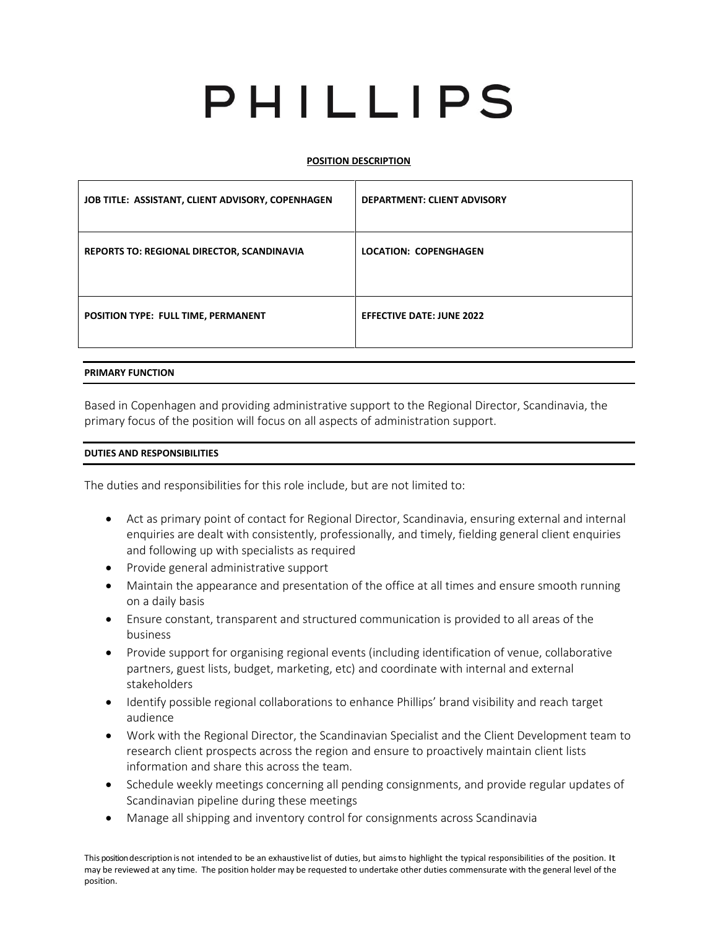# PHILLIPS

# **POSITION DESCRIPTION**

| JOB TITLE: ASSISTANT, CLIENT ADVISORY, COPENHAGEN | <b>DEPARTMENT: CLIENT ADVISORY</b> |
|---------------------------------------------------|------------------------------------|
| REPORTS TO: REGIONAL DIRECTOR, SCANDINAVIA        | <b>LOCATION: COPENGHAGEN</b>       |
| POSITION TYPE: FULL TIME, PERMANENT               | <b>EFFECTIVE DATE: JUNE 2022</b>   |

### **PRIMARY FUNCTION**

Based in Copenhagen and providing administrative support to the Regional Director, Scandinavia, the primary focus of the position will focus on all aspects of administration support.

### **DUTIES AND RESPONSIBILITIES**

The duties and responsibilities for this role include, but are not limited to:

- Act as primary point of contact for Regional Director, Scandinavia, ensuring external and internal enquiries are dealt with consistently, professionally, and timely, fielding general client enquiries and following up with specialists as required
- Provide general administrative support
- Maintain the appearance and presentation of the office at all times and ensure smooth running on a daily basis
- Ensure constant, transparent and structured communication is provided to all areas of the business
- Provide support for organising regional events (including identification of venue, collaborative partners, guest lists, budget, marketing, etc) and coordinate with internal and external stakeholders
- Identify possible regional collaborations to enhance Phillips' brand visibility and reach target audience
- Work with the Regional Director, the Scandinavian Specialist and the Client Development team to research client prospects across the region and ensure to proactively maintain client lists information and share this across the team.
- Schedule weekly meetings concerning all pending consignments, and provide regular updates of Scandinavian pipeline during these meetings
- Manage all shipping and inventory control for consignments across Scandinavia

This position description is not intended to be an exhaustivelist of duties, but aimsto highlight the typical responsibilities of the position. It may be reviewed at any time. The position holder may be requested to undertake other duties commensurate with the general level of the position.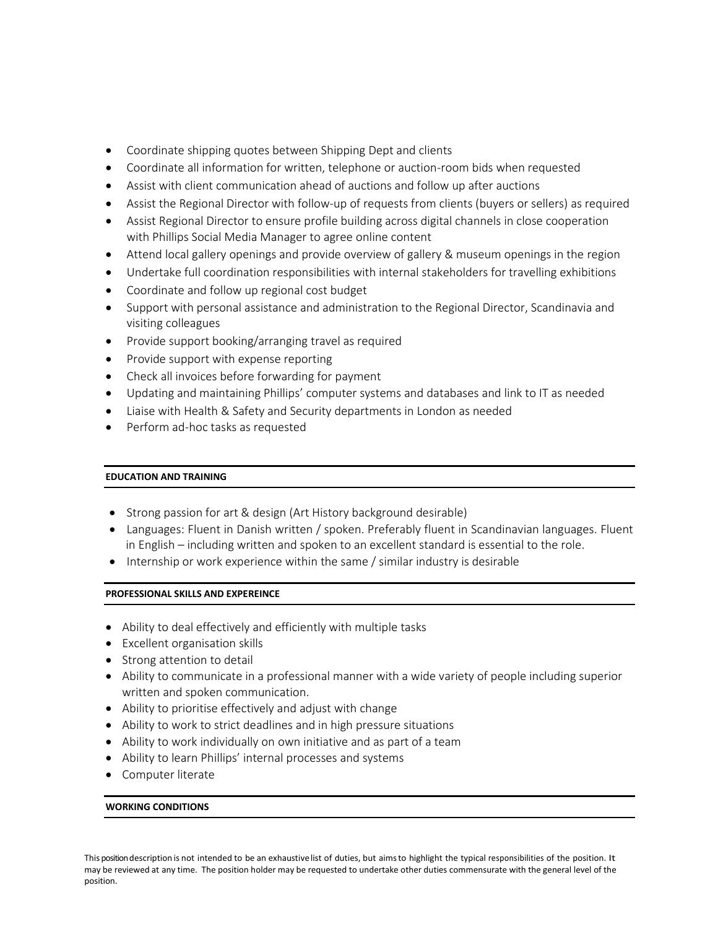- Coordinate shipping quotes between Shipping Dept and clients
- Coordinate all information for written, telephone or auction-room bids when requested
- Assist with client communication ahead of auctions and follow up after auctions
- Assist the Regional Director with follow-up of requests from clients (buyers or sellers) as required
- Assist Regional Director to ensure profile building across digital channels in close cooperation with Phillips Social Media Manager to agree online content
- Attend local gallery openings and provide overview of gallery & museum openings in the region
- Undertake full coordination responsibilities with internal stakeholders for travelling exhibitions
- Coordinate and follow up regional cost budget
- Support with personal assistance and administration to the Regional Director, Scandinavia and visiting colleagues
- Provide support booking/arranging travel as required
- Provide support with expense reporting
- Check all invoices before forwarding for payment
- Updating and maintaining Phillips' computer systems and databases and link to IT as needed
- Liaise with Health & Safety and Security departments in London as needed
- Perform ad-hoc tasks as requested

# **EDUCATION AND TRAINING**

- Strong passion for art & design (Art History background desirable)
- Languages: Fluent in Danish written / spoken. Preferably fluent in Scandinavian languages. Fluent in English – including written and spoken to an excellent standard is essential to the role.
- Internship or work experience within the same / similar industry is desirable

# **PROFESSIONAL SKILLS AND EXPEREINCE**

- Ability to deal effectively and efficiently with multiple tasks
- Excellent organisation skills
- Strong attention to detail
- Ability to communicate in a professional manner with a wide variety of people including superior written and spoken communication.
- Ability to prioritise effectively and adjust with change
- Ability to work to strict deadlines and in high pressure situations
- Ability to work individually on own initiative and as part of a team
- Ability to learn Phillips' internal processes and systems
- Computer literate

# **WORKING CONDITIONS**

This position description is not intended to be an exhaustivelist of duties, but aimsto highlight the typical responsibilities of the position. It may be reviewed at any time. The position holder may be requested to undertake other duties commensurate with the general level of the position.